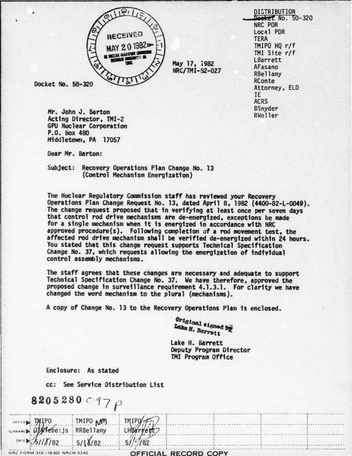

May 17, 1982 NRC/TMI-82-027

Docket No. 50-320

Mr. John J. Barton Acting Director, TMI-2 **GPU Nuclear Corporation** P.O. Box 480 Middletown, PA 17057

Dear Mr. Barton:

Subject: Recovery Operations Plan Change No. 13 (Control Mechanism Energization)

The Nuclear Regulatory Commission staff has reviewed your Recovery Operations Plan Change Request No. 13, dated April 8, 1982 (4400-82-L-0049). The change request proposed that in verifying at least once per seven days that control rod drive mechanisms are de-energized, exceptions be made for a single mechanism when it is energized in accordance with NRC approved procedure(s). Following completion of a rod movement test, the affected rod drive mechanism shall be verified de-energized within 24 hours. You stated that this change request supports Technical Specification Change No. 37, which requests allowing the energization of individual control assembly mechanisms.

The staff agrees that these changes are necessary and adequate to support Technical Specification Change No. 37. We have therefore, approved the proposed change in surveillance requirement 4.1.3.1. For clarity we have changed the word mechanism to the plural (mechanisms).

A copy of Change No. 13 to the Recovery Operations Plan is enclosed.

Original signed by Lake H. Barrett

Lake H. Barrett Deputy Program Director TMI Program Office

Enclosure: As stated

cc: See Service Distribution List

8205280  $C_{77}$   $\rho$ 

|                                |                        | $TMPQ + Q$           |  |  |
|--------------------------------|------------------------|----------------------|--|--|
| SURIANT MIPO TMIPO MM          |                        | LHBarrett            |  |  |
|                                | DATE $5118782$ 5/18/82 | 5/10/182             |  |  |
| NRC FORM 318 (10 80) NRCM 0240 |                        | OFFICIAL PECOPD COPY |  |  |

**DISTRIBUTION** Docket No. 50-320 NRC PDR Local PDR **TERA** TMIPO HQ r/f TMI Site r/f LBarrett AFasano **RBellamy** RConte Attorney, ELD IE. **ACRS BSnyder** RWeller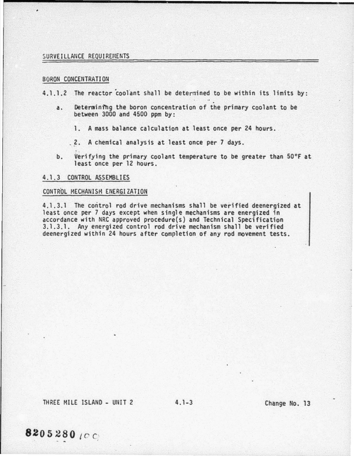## SURVEILLANCE REQUIREMENTS

#### BORON CONCENTRATION

4.1.1.2 The reactor coolant shall be determined to be within its limits by:

~--------------------------------------------------------------------------------

- a. Determining the boron concentration of the primary coolant to be between 3000 and 4500 ppm by :
	- 1. A mass balance calculation at least once per 24 hours.
	- . 2. A chemical analysis at least once per 7 days.
- b. Verifying the primary coolant temperature to be greater than 50°F at least once per 12 hours.

### 4.1.3 CONTROL ASSEMBLIES

# CONTROL MECHANISM ENERGIZATION

4.1.3.1 The control rod drive mechanisms shall be verified deenergized at least once per 7 days except when single mechanisms are energized in accordance with NRC approved procedure(s) and Technical Specification 3.1.3.1. Any energized control rod drive mechanism shall be verified deenergized within 24 hours after completion of any rod movement tests.

THREE MILE ISLAND - UNIT 2 4.1-3 Change No. 13

8205280 (CC)